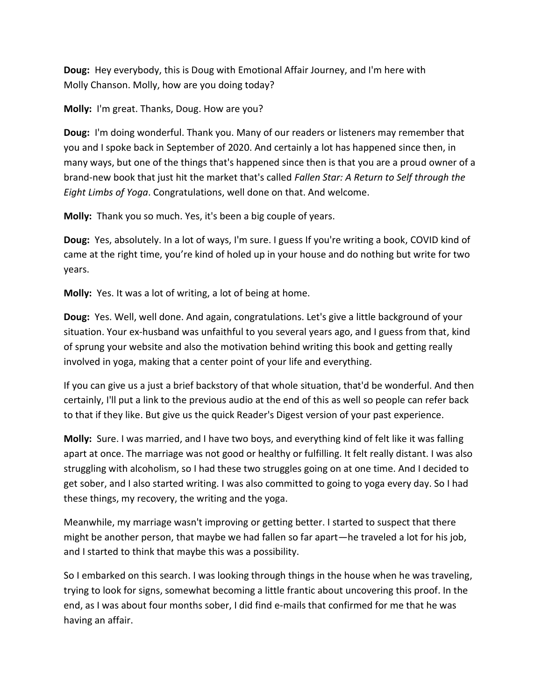**Doug:** Hey everybody, this is Doug with Emotional Affair Journey, and I'm here with Molly Chanson. Molly, how are you doing today?

**Molly:** I'm great. Thanks, Doug. How are you?

**Doug:** I'm doing wonderful. Thank you. Many of our readers or listeners may remember that you and I spoke back in September of 2020. And certainly a lot has happened since then, in many ways, but one of the things that's happened since then is that you are a proud owner of a brand-new book that just hit the market that's called *Fallen Star: A Return to Self through the Eight Limbs of Yoga*. Congratulations, well done on that. And welcome.

**Molly:** Thank you so much. Yes, it's been a big couple of years.

**Doug:** Yes, absolutely. In a lot of ways, I'm sure. I guess If you're writing a book, COVID kind of came at the right time, you're kind of holed up in your house and do nothing but write for two years.

**Molly:** Yes. It was a lot of writing, a lot of being at home.

**Doug:** Yes. Well, well done. And again, congratulations. Let's give a little background of your situation. Your ex-husband was unfaithful to you several years ago, and I guess from that, kind of sprung your website and also the motivation behind writing this book and getting really involved in yoga, making that a center point of your life and everything.

If you can give us a just a brief backstory of that whole situation, that'd be wonderful. And then certainly, I'll put a link to the previous audio at the end of this as well so people can refer back to that if they like. But give us the quick Reader's Digest version of your past experience.

**Molly:** Sure. I was married, and I have two boys, and everything kind of felt like it was falling apart at once. The marriage was not good or healthy or fulfilling. It felt really distant. I was also struggling with alcoholism, so I had these two struggles going on at one time. And I decided to get sober, and I also started writing. I was also committed to going to yoga every day. So I had these things, my recovery, the writing and the yoga.

Meanwhile, my marriage wasn't improving or getting better. I started to suspect that there might be another person, that maybe we had fallen so far apart—he traveled a lot for his job, and I started to think that maybe this was a possibility.

So I embarked on this search. I was looking through things in the house when he was traveling, trying to look for signs, somewhat becoming a little frantic about uncovering this proof. In the end, as I was about four months sober, I did find e-mails that confirmed for me that he was having an affair.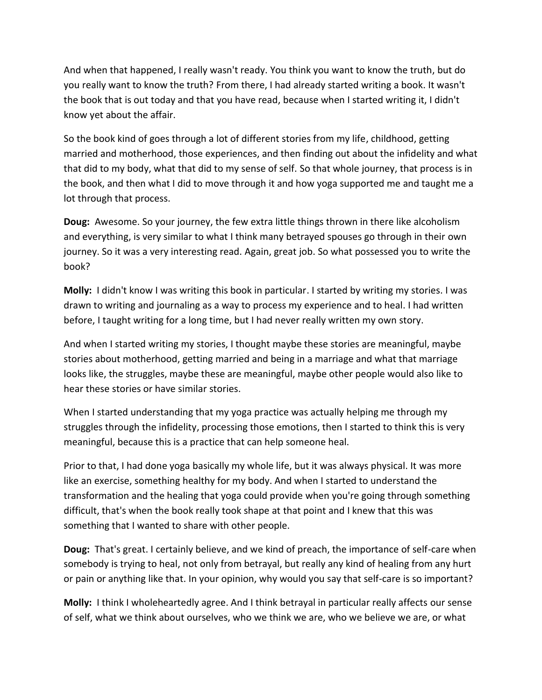And when that happened, I really wasn't ready. You think you want to know the truth, but do you really want to know the truth? From there, I had already started writing a book. It wasn't the book that is out today and that you have read, because when I started writing it, I didn't know yet about the affair.

So the book kind of goes through a lot of different stories from my life, childhood, getting married and motherhood, those experiences, and then finding out about the infidelity and what that did to my body, what that did to my sense of self. So that whole journey, that process is in the book, and then what I did to move through it and how yoga supported me and taught me a lot through that process.

**Doug:** Awesome. So your journey, the few extra little things thrown in there like alcoholism and everything, is very similar to what I think many betrayed spouses go through in their own journey. So it was a very interesting read. Again, great job. So what possessed you to write the book?

**Molly:** I didn't know I was writing this book in particular. I started by writing my stories. I was drawn to writing and journaling as a way to process my experience and to heal. I had written before, I taught writing for a long time, but I had never really written my own story.

And when I started writing my stories, I thought maybe these stories are meaningful, maybe stories about motherhood, getting married and being in a marriage and what that marriage looks like, the struggles, maybe these are meaningful, maybe other people would also like to hear these stories or have similar stories.

When I started understanding that my yoga practice was actually helping me through my struggles through the infidelity, processing those emotions, then I started to think this is very meaningful, because this is a practice that can help someone heal.

Prior to that, I had done yoga basically my whole life, but it was always physical. It was more like an exercise, something healthy for my body. And when I started to understand the transformation and the healing that yoga could provide when you're going through something difficult, that's when the book really took shape at that point and I knew that this was something that I wanted to share with other people.

**Doug:** That's great. I certainly believe, and we kind of preach, the importance of self-care when somebody is trying to heal, not only from betrayal, but really any kind of healing from any hurt or pain or anything like that. In your opinion, why would you say that self-care is so important?

**Molly:** I think I wholeheartedly agree. And I think betrayal in particular really affects our sense of self, what we think about ourselves, who we think we are, who we believe we are, or what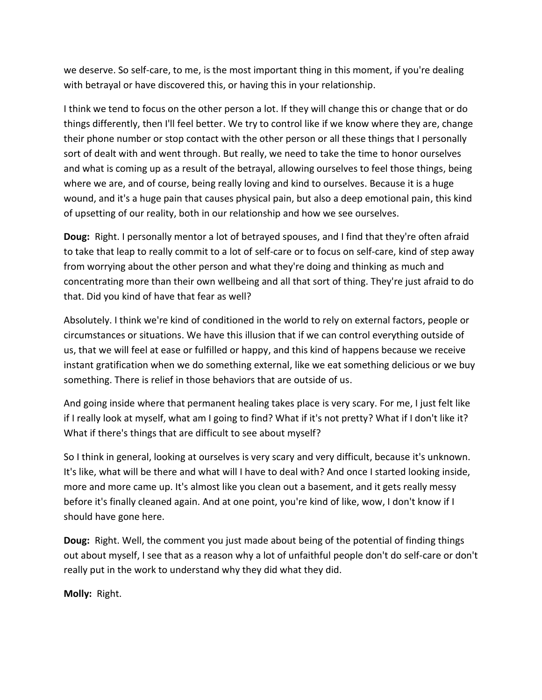we deserve. So self-care, to me, is the most important thing in this moment, if you're dealing with betrayal or have discovered this, or having this in your relationship.

I think we tend to focus on the other person a lot. If they will change this or change that or do things differently, then I'll feel better. We try to control like if we know where they are, change their phone number or stop contact with the other person or all these things that I personally sort of dealt with and went through. But really, we need to take the time to honor ourselves and what is coming up as a result of the betrayal, allowing ourselves to feel those things, being where we are, and of course, being really loving and kind to ourselves. Because it is a huge wound, and it's a huge pain that causes physical pain, but also a deep emotional pain, this kind of upsetting of our reality, both in our relationship and how we see ourselves.

**Doug:** Right. I personally mentor a lot of betrayed spouses, and I find that they're often afraid to take that leap to really commit to a lot of self-care or to focus on self-care, kind of step away from worrying about the other person and what they're doing and thinking as much and concentrating more than their own wellbeing and all that sort of thing. They're just afraid to do that. Did you kind of have that fear as well?

Absolutely. I think we're kind of conditioned in the world to rely on external factors, people or circumstances or situations. We have this illusion that if we can control everything outside of us, that we will feel at ease or fulfilled or happy, and this kind of happens because we receive instant gratification when we do something external, like we eat something delicious or we buy something. There is relief in those behaviors that are outside of us.

And going inside where that permanent healing takes place is very scary. For me, I just felt like if I really look at myself, what am I going to find? What if it's not pretty? What if I don't like it? What if there's things that are difficult to see about myself?

So I think in general, looking at ourselves is very scary and very difficult, because it's unknown. It's like, what will be there and what will I have to deal with? And once I started looking inside, more and more came up. It's almost like you clean out a basement, and it gets really messy before it's finally cleaned again. And at one point, you're kind of like, wow, I don't know if I should have gone here.

**Doug:** Right. Well, the comment you just made about being of the potential of finding things out about myself, I see that as a reason why a lot of unfaithful people don't do self-care or don't really put in the work to understand why they did what they did.

**Molly:** Right.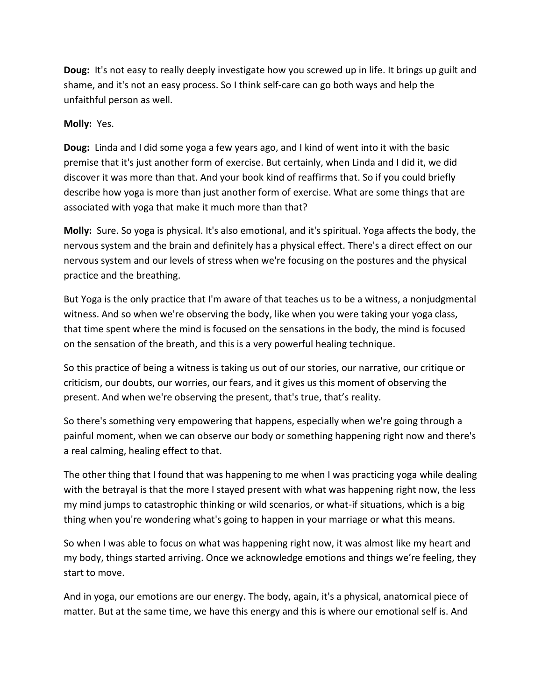**Doug:** It's not easy to really deeply investigate how you screwed up in life. It brings up guilt and shame, and it's not an easy process. So I think self-care can go both ways and help the unfaithful person as well.

## **Molly:** Yes.

**Doug:** Linda and I did some yoga a few years ago, and I kind of went into it with the basic premise that it's just another form of exercise. But certainly, when Linda and I did it, we did discover it was more than that. And your book kind of reaffirms that. So if you could briefly describe how yoga is more than just another form of exercise. What are some things that are associated with yoga that make it much more than that?

**Molly:** Sure. So yoga is physical. It's also emotional, and it's spiritual. Yoga affects the body, the nervous system and the brain and definitely has a physical effect. There's a direct effect on our nervous system and our levels of stress when we're focusing on the postures and the physical practice and the breathing.

But Yoga is the only practice that I'm aware of that teaches us to be a witness, a nonjudgmental witness. And so when we're observing the body, like when you were taking your yoga class, that time spent where the mind is focused on the sensations in the body, the mind is focused on the sensation of the breath, and this is a very powerful healing technique.

So this practice of being a witness is taking us out of our stories, our narrative, our critique or criticism, our doubts, our worries, our fears, and it gives us this moment of observing the present. And when we're observing the present, that's true, that's reality.

So there's something very empowering that happens, especially when we're going through a painful moment, when we can observe our body or something happening right now and there's a real calming, healing effect to that.

The other thing that I found that was happening to me when I was practicing yoga while dealing with the betrayal is that the more I stayed present with what was happening right now, the less my mind jumps to catastrophic thinking or wild scenarios, or what-if situations, which is a big thing when you're wondering what's going to happen in your marriage or what this means.

So when I was able to focus on what was happening right now, it was almost like my heart and my body, things started arriving. Once we acknowledge emotions and things we're feeling, they start to move.

And in yoga, our emotions are our energy. The body, again, it's a physical, anatomical piece of matter. But at the same time, we have this energy and this is where our emotional self is. And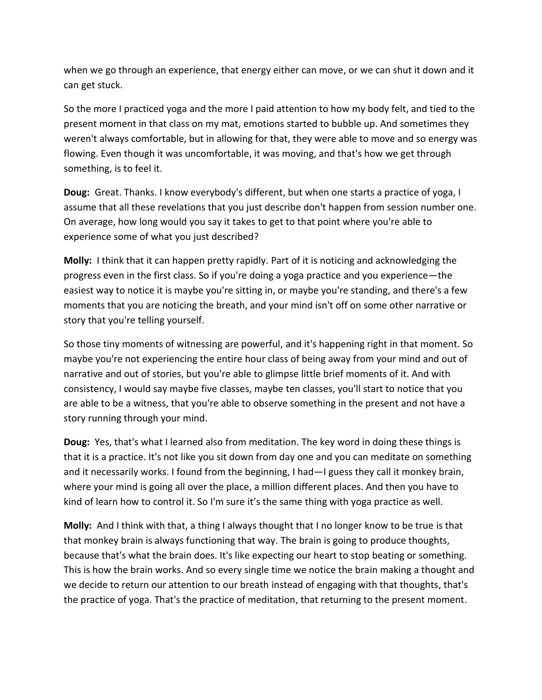when we go through an experience, that energy either can move, or we can shut it down and it can get stuck.

So the more I practiced yoga and the more I paid attention to how my body felt, and tied to the present moment in that class on my mat, emotions started to bubble up. And sometimes they weren't always comfortable, but in allowing for that, they were able to move and so energy was flowing. Even though it was uncomfortable, it was moving, and that's how we get through something, is to feel it.

**Doug:** Great. Thanks. I know everybody's different, but when one starts a practice of yoga, I assume that all these revelations that you just describe don't happen from session number one. On average, how long would you say it takes to get to that point where you're able to experience some of what you just described?

**Molly:** I think that it can happen pretty rapidly. Part of it is noticing and acknowledging the progress even in the first class. So if you're doing a yoga practice and you experience—the easiest way to notice it is maybe you're sitting in, or maybe you're standing, and there's a few moments that you are noticing the breath, and your mind isn't off on some other narrative or story that you're telling yourself.

So those tiny moments of witnessing are powerful, and it's happening right in that moment. So maybe you're not experiencing the entire hour class of being away from your mind and out of narrative and out of stories, but you're able to glimpse little brief moments of it. And with consistency, I would say maybe five classes, maybe ten classes, you'll start to notice that you are able to be a witness, that you're able to observe something in the present and not have a story running through your mind.

**Doug:** Yes, that's what I learned also from meditation. The key word in doing these things is that it is a practice. It's not like you sit down from day one and you can meditate on something and it necessarily works. I found from the beginning, I had—I guess they call it monkey brain, where your mind is going all over the place, a million different places. And then you have to kind of learn how to control it. So I'm sure it's the same thing with yoga practice as well.

**Molly:** And I think with that, a thing I always thought that I no longer know to be true is that that monkey brain is always functioning that way. The brain is going to produce thoughts, because that's what the brain does. It's like expecting our heart to stop beating or something. This is how the brain works. And so every single time we notice the brain making a thought and we decide to return our attention to our breath instead of engaging with that thoughts, that's the practice of yoga. That's the practice of meditation, that returning to the present moment.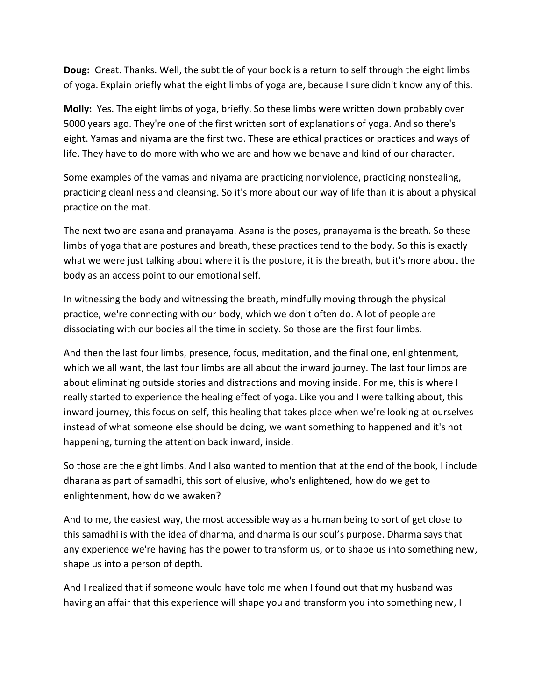**Doug:** Great. Thanks. Well, the subtitle of your book is a return to self through the eight limbs of yoga. Explain briefly what the eight limbs of yoga are, because I sure didn't know any of this.

**Molly:** Yes. The eight limbs of yoga, briefly. So these limbs were written down probably over 5000 years ago. They're one of the first written sort of explanations of yoga. And so there's eight. Yamas and niyama are the first two. These are ethical practices or practices and ways of life. They have to do more with who we are and how we behave and kind of our character.

Some examples of the yamas and niyama are practicing nonviolence, practicing nonstealing, practicing cleanliness and cleansing. So it's more about our way of life than it is about a physical practice on the mat.

The next two are asana and pranayama. Asana is the poses, pranayama is the breath. So these limbs of yoga that are postures and breath, these practices tend to the body. So this is exactly what we were just talking about where it is the posture, it is the breath, but it's more about the body as an access point to our emotional self.

In witnessing the body and witnessing the breath, mindfully moving through the physical practice, we're connecting with our body, which we don't often do. A lot of people are dissociating with our bodies all the time in society. So those are the first four limbs.

And then the last four limbs, presence, focus, meditation, and the final one, enlightenment, which we all want, the last four limbs are all about the inward journey. The last four limbs are about eliminating outside stories and distractions and moving inside. For me, this is where I really started to experience the healing effect of yoga. Like you and I were talking about, this inward journey, this focus on self, this healing that takes place when we're looking at ourselves instead of what someone else should be doing, we want something to happened and it's not happening, turning the attention back inward, inside.

So those are the eight limbs. And I also wanted to mention that at the end of the book, I include dharana as part of samadhi, this sort of elusive, who's enlightened, how do we get to enlightenment, how do we awaken?

And to me, the easiest way, the most accessible way as a human being to sort of get close to this samadhi is with the idea of dharma, and dharma is our soul's purpose. Dharma says that any experience we're having has the power to transform us, or to shape us into something new, shape us into a person of depth.

And I realized that if someone would have told me when I found out that my husband was having an affair that this experience will shape you and transform you into something new, I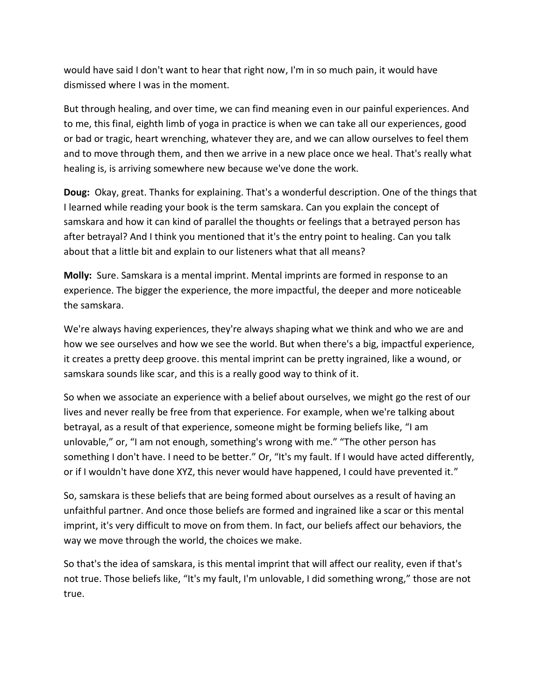would have said I don't want to hear that right now, I'm in so much pain, it would have dismissed where I was in the moment.

But through healing, and over time, we can find meaning even in our painful experiences. And to me, this final, eighth limb of yoga in practice is when we can take all our experiences, good or bad or tragic, heart wrenching, whatever they are, and we can allow ourselves to feel them and to move through them, and then we arrive in a new place once we heal. That's really what healing is, is arriving somewhere new because we've done the work.

**Doug:** Okay, great. Thanks for explaining. That's a wonderful description. One of the things that I learned while reading your book is the term samskara. Can you explain the concept of samskara and how it can kind of parallel the thoughts or feelings that a betrayed person has after betrayal? And I think you mentioned that it's the entry point to healing. Can you talk about that a little bit and explain to our listeners what that all means?

**Molly:** Sure. Samskara is a mental imprint. Mental imprints are formed in response to an experience. The bigger the experience, the more impactful, the deeper and more noticeable the samskara.

We're always having experiences, they're always shaping what we think and who we are and how we see ourselves and how we see the world. But when there's a big, impactful experience, it creates a pretty deep groove. this mental imprint can be pretty ingrained, like a wound, or samskara sounds like scar, and this is a really good way to think of it.

So when we associate an experience with a belief about ourselves, we might go the rest of our lives and never really be free from that experience. For example, when we're talking about betrayal, as a result of that experience, someone might be forming beliefs like, "I am unlovable," or, "I am not enough, something's wrong with me." "The other person has something I don't have. I need to be better." Or, "It's my fault. If I would have acted differently, or if I wouldn't have done XYZ, this never would have happened, I could have prevented it."

So, samskara is these beliefs that are being formed about ourselves as a result of having an unfaithful partner. And once those beliefs are formed and ingrained like a scar or this mental imprint, it's very difficult to move on from them. In fact, our beliefs affect our behaviors, the way we move through the world, the choices we make.

So that's the idea of samskara, is this mental imprint that will affect our reality, even if that's not true. Those beliefs like, "It's my fault, I'm unlovable, I did something wrong," those are not true.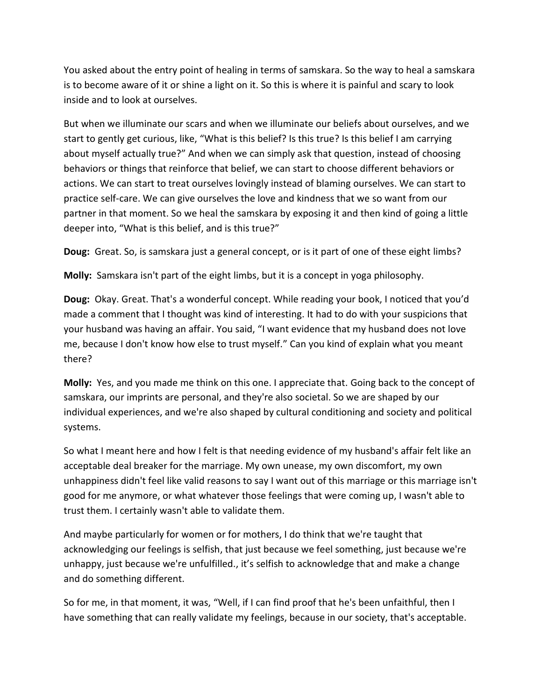You asked about the entry point of healing in terms of samskara. So the way to heal a samskara is to become aware of it or shine a light on it. So this is where it is painful and scary to look inside and to look at ourselves.

But when we illuminate our scars and when we illuminate our beliefs about ourselves, and we start to gently get curious, like, "What is this belief? Is this true? Is this belief I am carrying about myself actually true?" And when we can simply ask that question, instead of choosing behaviors or things that reinforce that belief, we can start to choose different behaviors or actions. We can start to treat ourselves lovingly instead of blaming ourselves. We can start to practice self-care. We can give ourselves the love and kindness that we so want from our partner in that moment. So we heal the samskara by exposing it and then kind of going a little deeper into, "What is this belief, and is this true?"

**Doug:** Great. So, is samskara just a general concept, or is it part of one of these eight limbs?

**Molly:** Samskara isn't part of the eight limbs, but it is a concept in yoga philosophy.

**Doug:** Okay. Great. That's a wonderful concept. While reading your book, I noticed that you'd made a comment that I thought was kind of interesting. It had to do with your suspicions that your husband was having an affair. You said, "I want evidence that my husband does not love me, because I don't know how else to trust myself." Can you kind of explain what you meant there?

**Molly:** Yes, and you made me think on this one. I appreciate that. Going back to the concept of samskara, our imprints are personal, and they're also societal. So we are shaped by our individual experiences, and we're also shaped by cultural conditioning and society and political systems.

So what I meant here and how I felt is that needing evidence of my husband's affair felt like an acceptable deal breaker for the marriage. My own unease, my own discomfort, my own unhappiness didn't feel like valid reasons to say I want out of this marriage or this marriage isn't good for me anymore, or what whatever those feelings that were coming up, I wasn't able to trust them. I certainly wasn't able to validate them.

And maybe particularly for women or for mothers, I do think that we're taught that acknowledging our feelings is selfish, that just because we feel something, just because we're unhappy, just because we're unfulfilled., it's selfish to acknowledge that and make a change and do something different.

So for me, in that moment, it was, "Well, if I can find proof that he's been unfaithful, then I have something that can really validate my feelings, because in our society, that's acceptable.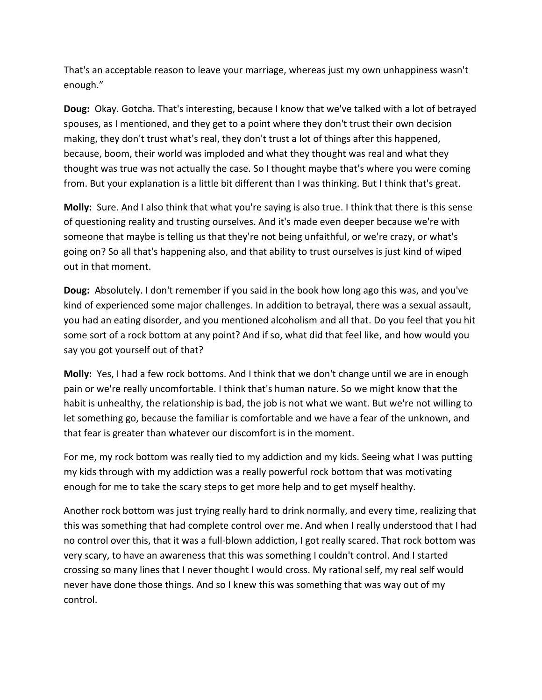That's an acceptable reason to leave your marriage, whereas just my own unhappiness wasn't enough."

**Doug:** Okay. Gotcha. That's interesting, because I know that we've talked with a lot of betrayed spouses, as I mentioned, and they get to a point where they don't trust their own decision making, they don't trust what's real, they don't trust a lot of things after this happened, because, boom, their world was imploded and what they thought was real and what they thought was true was not actually the case. So I thought maybe that's where you were coming from. But your explanation is a little bit different than I was thinking. But I think that's great.

**Molly:** Sure. And I also think that what you're saying is also true. I think that there is this sense of questioning reality and trusting ourselves. And it's made even deeper because we're with someone that maybe is telling us that they're not being unfaithful, or we're crazy, or what's going on? So all that's happening also, and that ability to trust ourselves is just kind of wiped out in that moment.

**Doug:** Absolutely. I don't remember if you said in the book how long ago this was, and you've kind of experienced some major challenges. In addition to betrayal, there was a sexual assault, you had an eating disorder, and you mentioned alcoholism and all that. Do you feel that you hit some sort of a rock bottom at any point? And if so, what did that feel like, and how would you say you got yourself out of that?

**Molly:** Yes, I had a few rock bottoms. And I think that we don't change until we are in enough pain or we're really uncomfortable. I think that's human nature. So we might know that the habit is unhealthy, the relationship is bad, the job is not what we want. But we're not willing to let something go, because the familiar is comfortable and we have a fear of the unknown, and that fear is greater than whatever our discomfort is in the moment.

For me, my rock bottom was really tied to my addiction and my kids. Seeing what I was putting my kids through with my addiction was a really powerful rock bottom that was motivating enough for me to take the scary steps to get more help and to get myself healthy.

Another rock bottom was just trying really hard to drink normally, and every time, realizing that this was something that had complete control over me. And when I really understood that I had no control over this, that it was a full-blown addiction, I got really scared. That rock bottom was very scary, to have an awareness that this was something I couldn't control. And I started crossing so many lines that I never thought I would cross. My rational self, my real self would never have done those things. And so I knew this was something that was way out of my control.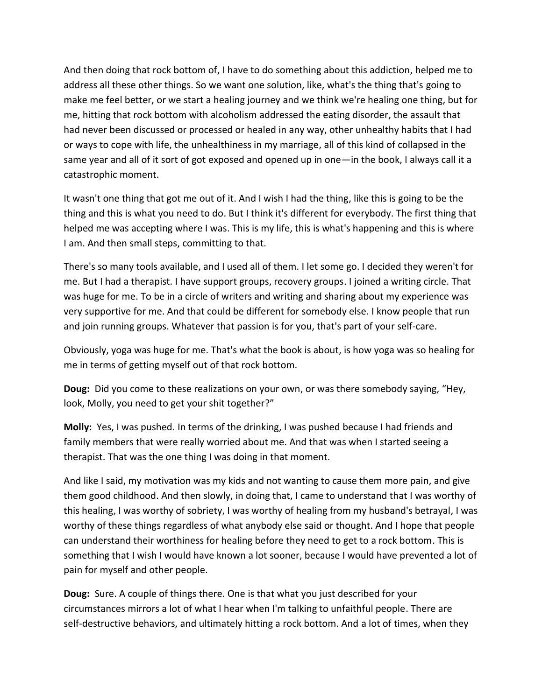And then doing that rock bottom of, I have to do something about this addiction, helped me to address all these other things. So we want one solution, like, what's the thing that's going to make me feel better, or we start a healing journey and we think we're healing one thing, but for me, hitting that rock bottom with alcoholism addressed the eating disorder, the assault that had never been discussed or processed or healed in any way, other unhealthy habits that I had or ways to cope with life, the unhealthiness in my marriage, all of this kind of collapsed in the same year and all of it sort of got exposed and opened up in one—in the book, I always call it a catastrophic moment.

It wasn't one thing that got me out of it. And I wish I had the thing, like this is going to be the thing and this is what you need to do. But I think it's different for everybody. The first thing that helped me was accepting where I was. This is my life, this is what's happening and this is where I am. And then small steps, committing to that.

There's so many tools available, and I used all of them. I let some go. I decided they weren't for me. But I had a therapist. I have support groups, recovery groups. I joined a writing circle. That was huge for me. To be in a circle of writers and writing and sharing about my experience was very supportive for me. And that could be different for somebody else. I know people that run and join running groups. Whatever that passion is for you, that's part of your self-care.

Obviously, yoga was huge for me. That's what the book is about, is how yoga was so healing for me in terms of getting myself out of that rock bottom.

**Doug:** Did you come to these realizations on your own, or was there somebody saying, "Hey, look, Molly, you need to get your shit together?"

**Molly:** Yes, I was pushed. In terms of the drinking, I was pushed because I had friends and family members that were really worried about me. And that was when I started seeing a therapist. That was the one thing I was doing in that moment.

And like I said, my motivation was my kids and not wanting to cause them more pain, and give them good childhood. And then slowly, in doing that, I came to understand that I was worthy of this healing, I was worthy of sobriety, I was worthy of healing from my husband's betrayal, I was worthy of these things regardless of what anybody else said or thought. And I hope that people can understand their worthiness for healing before they need to get to a rock bottom. This is something that I wish I would have known a lot sooner, because I would have prevented a lot of pain for myself and other people.

**Doug:** Sure. A couple of things there. One is that what you just described for your circumstances mirrors a lot of what I hear when I'm talking to unfaithful people. There are self-destructive behaviors, and ultimately hitting a rock bottom. And a lot of times, when they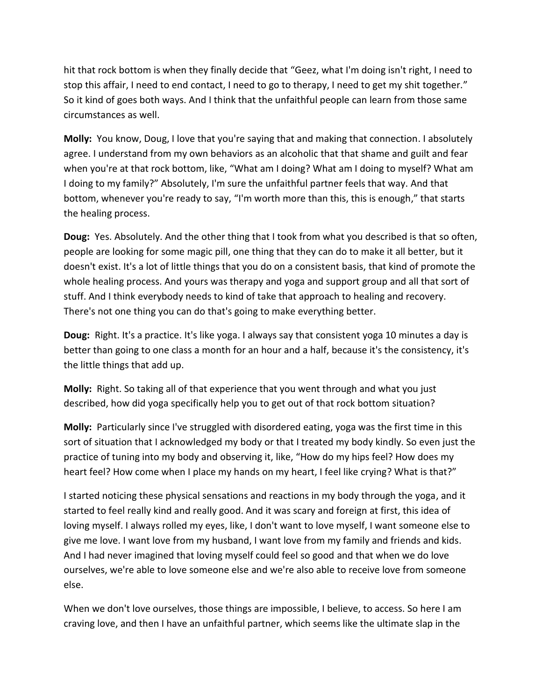hit that rock bottom is when they finally decide that "Geez, what I'm doing isn't right, I need to stop this affair, I need to end contact, I need to go to therapy, I need to get my shit together." So it kind of goes both ways. And I think that the unfaithful people can learn from those same circumstances as well.

**Molly:** You know, Doug, I love that you're saying that and making that connection. I absolutely agree. I understand from my own behaviors as an alcoholic that that shame and guilt and fear when you're at that rock bottom, like, "What am I doing? What am I doing to myself? What am I doing to my family?" Absolutely, I'm sure the unfaithful partner feels that way. And that bottom, whenever you're ready to say, "I'm worth more than this, this is enough," that starts the healing process.

**Doug:** Yes. Absolutely. And the other thing that I took from what you described is that so often, people are looking for some magic pill, one thing that they can do to make it all better, but it doesn't exist. It's a lot of little things that you do on a consistent basis, that kind of promote the whole healing process. And yours was therapy and yoga and support group and all that sort of stuff. And I think everybody needs to kind of take that approach to healing and recovery. There's not one thing you can do that's going to make everything better.

**Doug:** Right. It's a practice. It's like yoga. I always say that consistent yoga 10 minutes a day is better than going to one class a month for an hour and a half, because it's the consistency, it's the little things that add up.

**Molly:** Right. So taking all of that experience that you went through and what you just described, how did yoga specifically help you to get out of that rock bottom situation?

**Molly:** Particularly since I've struggled with disordered eating, yoga was the first time in this sort of situation that I acknowledged my body or that I treated my body kindly. So even just the practice of tuning into my body and observing it, like, "How do my hips feel? How does my heart feel? How come when I place my hands on my heart, I feel like crying? What is that?"

I started noticing these physical sensations and reactions in my body through the yoga, and it started to feel really kind and really good. And it was scary and foreign at first, this idea of loving myself. I always rolled my eyes, like, I don't want to love myself, I want someone else to give me love. I want love from my husband, I want love from my family and friends and kids. And I had never imagined that loving myself could feel so good and that when we do love ourselves, we're able to love someone else and we're also able to receive love from someone else.

When we don't love ourselves, those things are impossible, I believe, to access. So here I am craving love, and then I have an unfaithful partner, which seems like the ultimate slap in the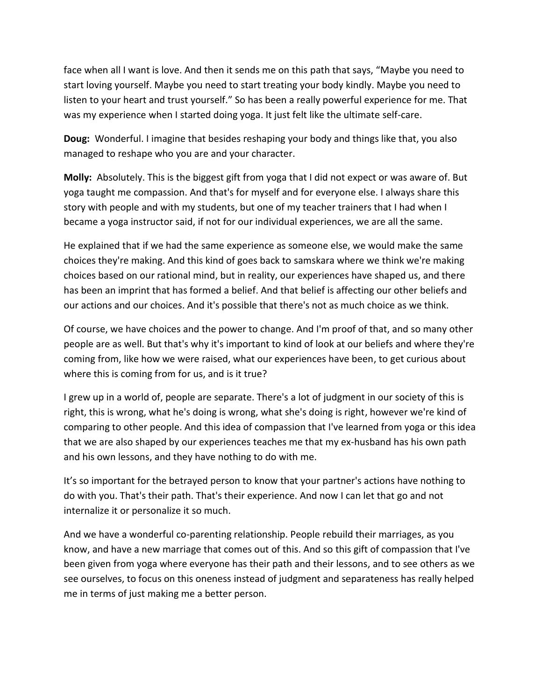face when all I want is love. And then it sends me on this path that says, "Maybe you need to start loving yourself. Maybe you need to start treating your body kindly. Maybe you need to listen to your heart and trust yourself." So has been a really powerful experience for me. That was my experience when I started doing yoga. It just felt like the ultimate self-care.

**Doug:** Wonderful. I imagine that besides reshaping your body and things like that, you also managed to reshape who you are and your character.

**Molly:** Absolutely. This is the biggest gift from yoga that I did not expect or was aware of. But yoga taught me compassion. And that's for myself and for everyone else. I always share this story with people and with my students, but one of my teacher trainers that I had when I became a yoga instructor said, if not for our individual experiences, we are all the same.

He explained that if we had the same experience as someone else, we would make the same choices they're making. And this kind of goes back to samskara where we think we're making choices based on our rational mind, but in reality, our experiences have shaped us, and there has been an imprint that has formed a belief. And that belief is affecting our other beliefs and our actions and our choices. And it's possible that there's not as much choice as we think.

Of course, we have choices and the power to change. And I'm proof of that, and so many other people are as well. But that's why it's important to kind of look at our beliefs and where they're coming from, like how we were raised, what our experiences have been, to get curious about where this is coming from for us, and is it true?

I grew up in a world of, people are separate. There's a lot of judgment in our society of this is right, this is wrong, what he's doing is wrong, what she's doing is right, however we're kind of comparing to other people. And this idea of compassion that I've learned from yoga or this idea that we are also shaped by our experiences teaches me that my ex-husband has his own path and his own lessons, and they have nothing to do with me.

It's so important for the betrayed person to know that your partner's actions have nothing to do with you. That's their path. That's their experience. And now I can let that go and not internalize it or personalize it so much.

And we have a wonderful co-parenting relationship. People rebuild their marriages, as you know, and have a new marriage that comes out of this. And so this gift of compassion that I've been given from yoga where everyone has their path and their lessons, and to see others as we see ourselves, to focus on this oneness instead of judgment and separateness has really helped me in terms of just making me a better person.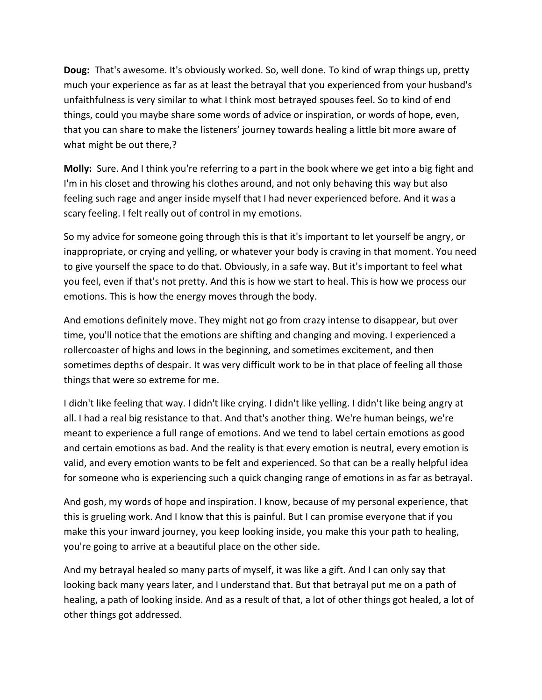**Doug:** That's awesome. It's obviously worked. So, well done. To kind of wrap things up, pretty much your experience as far as at least the betrayal that you experienced from your husband's unfaithfulness is very similar to what I think most betrayed spouses feel. So to kind of end things, could you maybe share some words of advice or inspiration, or words of hope, even, that you can share to make the listeners' journey towards healing a little bit more aware of what might be out there,?

**Molly:** Sure. And I think you're referring to a part in the book where we get into a big fight and I'm in his closet and throwing his clothes around, and not only behaving this way but also feeling such rage and anger inside myself that I had never experienced before. And it was a scary feeling. I felt really out of control in my emotions.

So my advice for someone going through this is that it's important to let yourself be angry, or inappropriate, or crying and yelling, or whatever your body is craving in that moment. You need to give yourself the space to do that. Obviously, in a safe way. But it's important to feel what you feel, even if that's not pretty. And this is how we start to heal. This is how we process our emotions. This is how the energy moves through the body.

And emotions definitely move. They might not go from crazy intense to disappear, but over time, you'll notice that the emotions are shifting and changing and moving. I experienced a rollercoaster of highs and lows in the beginning, and sometimes excitement, and then sometimes depths of despair. It was very difficult work to be in that place of feeling all those things that were so extreme for me.

I didn't like feeling that way. I didn't like crying. I didn't like yelling. I didn't like being angry at all. I had a real big resistance to that. And that's another thing. We're human beings, we're meant to experience a full range of emotions. And we tend to label certain emotions as good and certain emotions as bad. And the reality is that every emotion is neutral, every emotion is valid, and every emotion wants to be felt and experienced. So that can be a really helpful idea for someone who is experiencing such a quick changing range of emotions in as far as betrayal.

And gosh, my words of hope and inspiration. I know, because of my personal experience, that this is grueling work. And I know that this is painful. But I can promise everyone that if you make this your inward journey, you keep looking inside, you make this your path to healing, you're going to arrive at a beautiful place on the other side.

And my betrayal healed so many parts of myself, it was like a gift. And I can only say that looking back many years later, and I understand that. But that betrayal put me on a path of healing, a path of looking inside. And as a result of that, a lot of other things got healed, a lot of other things got addressed.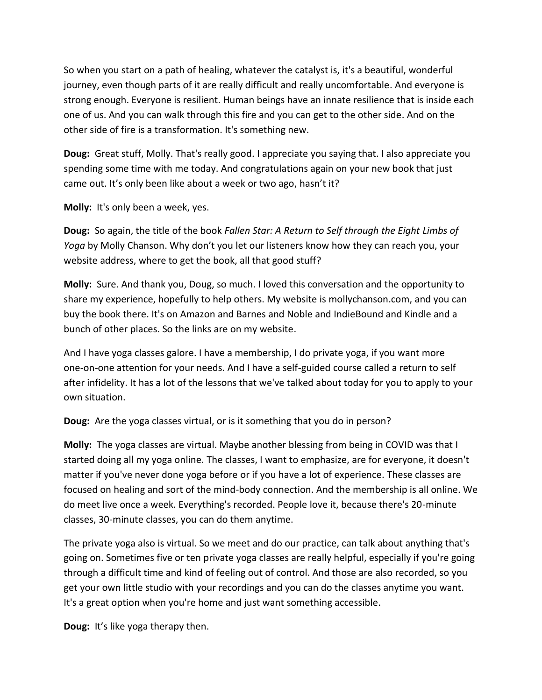So when you start on a path of healing, whatever the catalyst is, it's a beautiful, wonderful journey, even though parts of it are really difficult and really uncomfortable. And everyone is strong enough. Everyone is resilient. Human beings have an innate resilience that is inside each one of us. And you can walk through this fire and you can get to the other side. And on the other side of fire is a transformation. It's something new.

**Doug:** Great stuff, Molly. That's really good. I appreciate you saying that. I also appreciate you spending some time with me today. And congratulations again on your new book that just came out. It's only been like about a week or two ago, hasn't it?

**Molly:** It's only been a week, yes.

**Doug:** So again, the title of the book *Fallen Star: A Return to Self through the Eight Limbs of Yoga* by Molly Chanson. Why don't you let our listeners know how they can reach you, your website address, where to get the book, all that good stuff?

**Molly:** Sure. And thank you, Doug, so much. I loved this conversation and the opportunity to share my experience, hopefully to help others. My website is mollychanson.com, and you can buy the book there. It's on Amazon and Barnes and Noble and IndieBound and Kindle and a bunch of other places. So the links are on my website.

And I have yoga classes galore. I have a membership, I do private yoga, if you want more one-on-one attention for your needs. And I have a self-guided course called a return to self after infidelity. It has a lot of the lessons that we've talked about today for you to apply to your own situation.

**Doug:** Are the yoga classes virtual, or is it something that you do in person?

**Molly:** The yoga classes are virtual. Maybe another blessing from being in COVID was that I started doing all my yoga online. The classes, I want to emphasize, are for everyone, it doesn't matter if you've never done yoga before or if you have a lot of experience. These classes are focused on healing and sort of the mind-body connection. And the membership is all online. We do meet live once a week. Everything's recorded. People love it, because there's 20-minute classes, 30-minute classes, you can do them anytime.

The private yoga also is virtual. So we meet and do our practice, can talk about anything that's going on. Sometimes five or ten private yoga classes are really helpful, especially if you're going through a difficult time and kind of feeling out of control. And those are also recorded, so you get your own little studio with your recordings and you can do the classes anytime you want. It's a great option when you're home and just want something accessible.

**Doug:** It's like yoga therapy then.